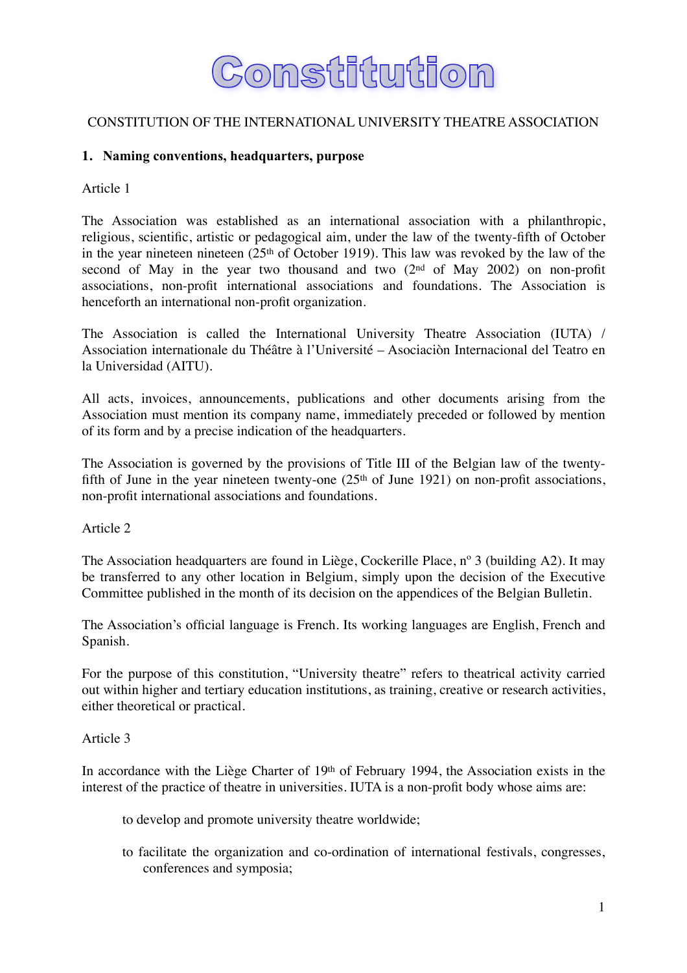# **Constitution**

## CONSTITUTION OF THE INTERNATIONAL UNIVERSITY THEATRE ASSOCIATION

## **1. Naming conventions, headquarters, purpose**

#### Article 1

The Association was established as an international association with a philanthropic, religious, scientific, artistic or pedagogical aim, under the law of the twenty-fifth of October in the year nineteen nineteen (25th of October 1919). This law was revoked by the law of the second of May in the year two thousand and two (2nd of May 2002) on non-profit associations, non-profit international associations and foundations. The Association is henceforth an international non-profit organization.

The Association is called the International University Theatre Association (IUTA) / Association internationale du Théâtre à l'Université – Asociaciòn Internacional del Teatro en la Universidad (AITU).

All acts, invoices, announcements, publications and other documents arising from the Association must mention its company name, immediately preceded or followed by mention of its form and by a precise indication of the headquarters.

The Association is governed by the provisions of Title III of the Belgian law of the twentyfifth of June in the year nineteen twenty-one  $(25<sup>th</sup>$  of June 1921) on non-profit associations, non-profit international associations and foundations.

Article 2

The Association headquarters are found in Liège, Cockerille Place, n° 3 (building A2). It may be transferred to any other location in Belgium, simply upon the decision of the Executive Committee published in the month of its decision on the appendices of the Belgian Bulletin.

The Association's official language is French. Its working languages are English, French and Spanish.

For the purpose of this constitution, "University theatre" refers to theatrical activity carried out within higher and tertiary education institutions, as training, creative or research activities, either theoretical or practical.

#### Article 3

In accordance with the Liège Charter of 19<sup>th</sup> of February 1994, the Association exists in the interest of the practice of theatre in universities. IUTA is a non-profit body whose aims are:

- to develop and promote university theatre worldwide;
- to facilitate the organization and co-ordination of international festivals, congresses, conferences and symposia;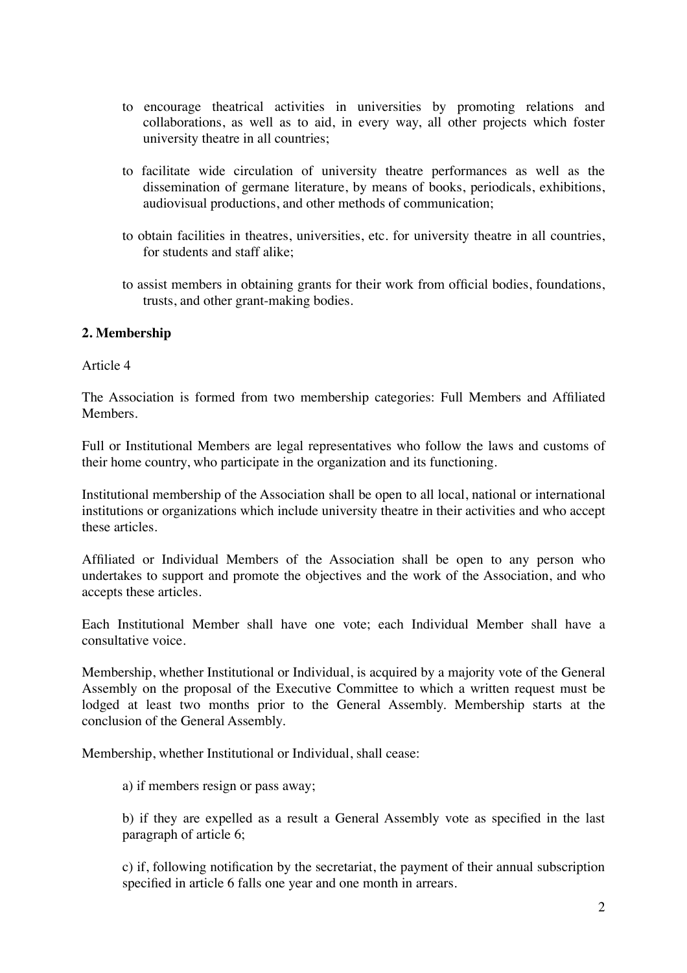- to encourage theatrical activities in universities by promoting relations and collaborations, as well as to aid, in every way, all other projects which foster university theatre in all countries;
- to facilitate wide circulation of university theatre performances as well as the dissemination of germane literature, by means of books, periodicals, exhibitions, audiovisual productions, and other methods of communication;
- to obtain facilities in theatres, universities, etc. for university theatre in all countries, for students and staff alike;
- to assist members in obtaining grants for their work from official bodies, foundations, trusts, and other grant-making bodies.

#### **2. Membership**

#### Article 4

The Association is formed from two membership categories: Full Members and Affiliated Members.

Full or Institutional Members are legal representatives who follow the laws and customs of their home country, who participate in the organization and its functioning.

Institutional membership of the Association shall be open to all local, national or international institutions or organizations which include university theatre in their activities and who accept these articles.

Affiliated or Individual Members of the Association shall be open to any person who undertakes to support and promote the objectives and the work of the Association, and who accepts these articles.

Each Institutional Member shall have one vote; each Individual Member shall have a consultative voice.

Membership, whether Institutional or Individual, is acquired by a majority vote of the General Assembly on the proposal of the Executive Committee to which a written request must be lodged at least two months prior to the General Assembly. Membership starts at the conclusion of the General Assembly.

Membership, whether Institutional or Individual, shall cease:

a) if members resign or pass away;

b) if they are expelled as a result a General Assembly vote as specified in the last paragraph of article 6;

c) if, following notification by the secretariat, the payment of their annual subscription specified in article 6 falls one year and one month in arrears.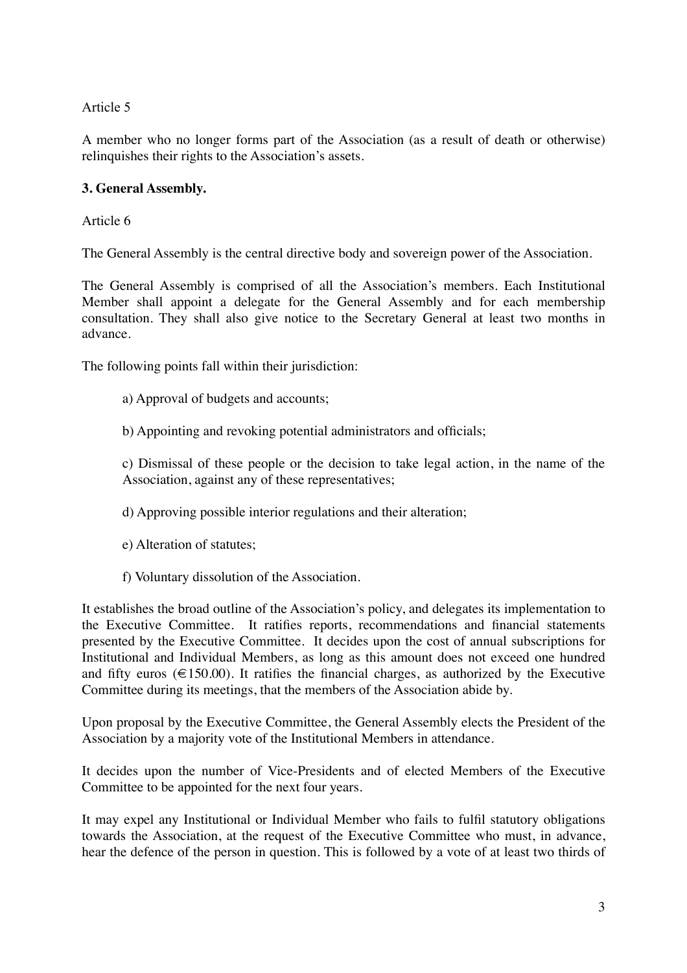Article 5

A member who no longer forms part of the Association (as a result of death or otherwise) relinquishes their rights to the Association's assets.

## **3. General Assembly.**

Article 6

The General Assembly is the central directive body and sovereign power of the Association.

The General Assembly is comprised of all the Association's members. Each Institutional Member shall appoint a delegate for the General Assembly and for each membership consultation. They shall also give notice to the Secretary General at least two months in advance.

The following points fall within their jurisdiction:

a) Approval of budgets and accounts;

b) Appointing and revoking potential administrators and officials;

c) Dismissal of these people or the decision to take legal action, in the name of the Association, against any of these representatives;

- d) Approving possible interior regulations and their alteration;
- e) Alteration of statutes;
- f) Voluntary dissolution of the Association.

It establishes the broad outline of the Association's policy, and delegates its implementation to the Executive Committee. It ratifies reports, recommendations and financial statements presented by the Executive Committee. It decides upon the cost of annual subscriptions for Institutional and Individual Members, as long as this amount does not exceed one hundred and fifty euros ( $\in$ 150.00). It ratifies the financial charges, as authorized by the Executive Committee during its meetings, that the members of the Association abide by.

Upon proposal by the Executive Committee, the General Assembly elects the President of the Association by a majority vote of the Institutional Members in attendance.

It decides upon the number of Vice-Presidents and of elected Members of the Executive Committee to be appointed for the next four years.

It may expel any Institutional or Individual Member who fails to fulfil statutory obligations towards the Association, at the request of the Executive Committee who must, in advance, hear the defence of the person in question. This is followed by a vote of at least two thirds of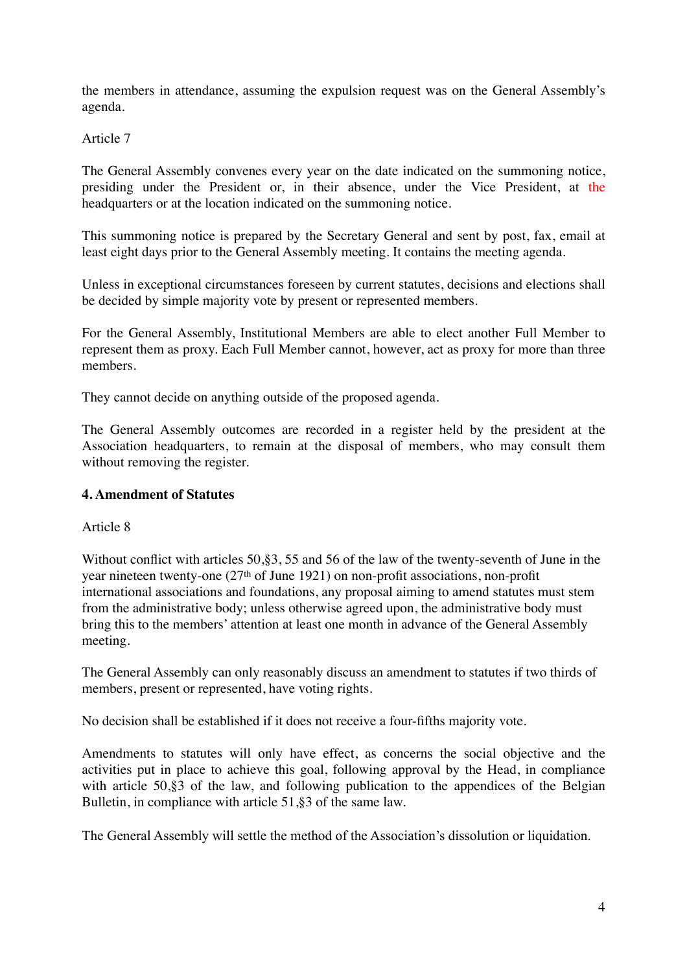the members in attendance, assuming the expulsion request was on the General Assembly's agenda.

## Article 7

The General Assembly convenes every year on the date indicated on the summoning notice, presiding under the President or, in their absence, under the Vice President, at the headquarters or at the location indicated on the summoning notice.

This summoning notice is prepared by the Secretary General and sent by post, fax, email at least eight days prior to the General Assembly meeting. It contains the meeting agenda.

Unless in exceptional circumstances foreseen by current statutes, decisions and elections shall be decided by simple majority vote by present or represented members.

For the General Assembly, Institutional Members are able to elect another Full Member to represent them as proxy. Each Full Member cannot, however, act as proxy for more than three members.

They cannot decide on anything outside of the proposed agenda.

The General Assembly outcomes are recorded in a register held by the president at the Association headquarters, to remain at the disposal of members, who may consult them without removing the register.

#### **4. Amendment of Statutes**

#### Article 8

Without conflict with articles 50,§3, 55 and 56 of the law of the twenty-seventh of June in the year nineteen twenty-one (27<sup>th</sup> of June 1921) on non-profit associations, non-profit international associations and foundations, any proposal aiming to amend statutes must stem from the administrative body; unless otherwise agreed upon, the administrative body must bring this to the members' attention at least one month in advance of the General Assembly meeting.

The General Assembly can only reasonably discuss an amendment to statutes if two thirds of members, present or represented, have voting rights.

No decision shall be established if it does not receive a four-fifths majority vote.

Amendments to statutes will only have effect, as concerns the social objective and the activities put in place to achieve this goal, following approval by the Head, in compliance with article 50,§3 of the law, and following publication to the appendices of the Belgian Bulletin, in compliance with article 51,§3 of the same law.

The General Assembly will settle the method of the Association's dissolution or liquidation.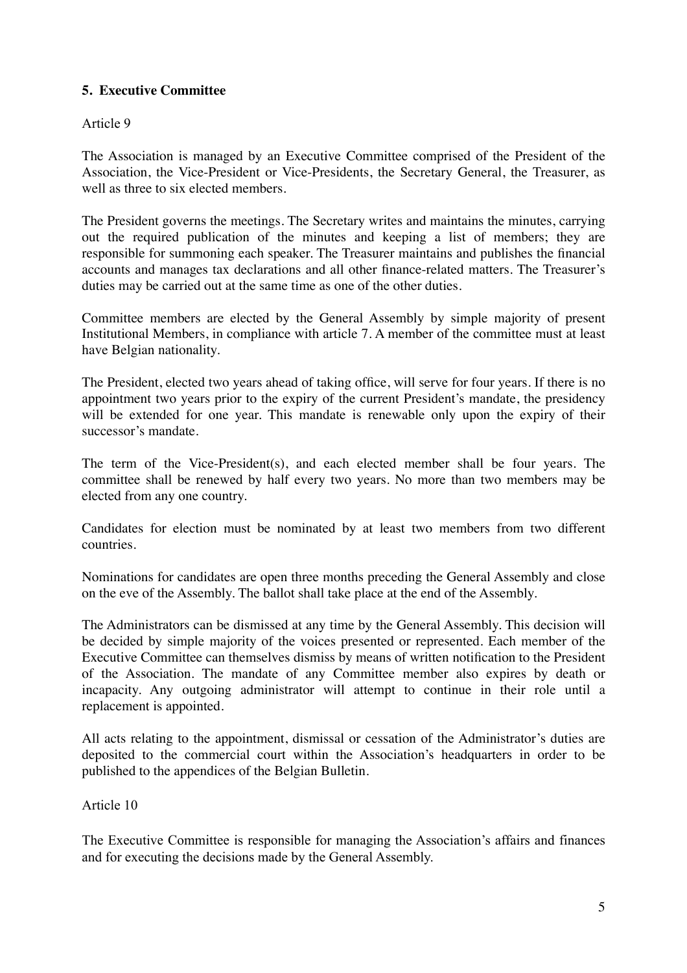# **5. Executive Committee**

## Article 9

The Association is managed by an Executive Committee comprised of the President of the Association, the Vice-President or Vice-Presidents, the Secretary General, the Treasurer, as well as three to six elected members.

The President governs the meetings. The Secretary writes and maintains the minutes, carrying out the required publication of the minutes and keeping a list of members; they are responsible for summoning each speaker. The Treasurer maintains and publishes the financial accounts and manages tax declarations and all other finance-related matters. The Treasurer's duties may be carried out at the same time as one of the other duties.

Committee members are elected by the General Assembly by simple majority of present Institutional Members, in compliance with article 7. A member of the committee must at least have Belgian nationality.

The President, elected two years ahead of taking office, will serve for four years. If there is no appointment two years prior to the expiry of the current President's mandate, the presidency will be extended for one year. This mandate is renewable only upon the expiry of their successor's mandate.

The term of the Vice-President(s), and each elected member shall be four years. The committee shall be renewed by half every two years. No more than two members may be elected from any one country.

Candidates for election must be nominated by at least two members from two different countries.

Nominations for candidates are open three months preceding the General Assembly and close on the eve of the Assembly. The ballot shall take place at the end of the Assembly.

The Administrators can be dismissed at any time by the General Assembly. This decision will be decided by simple majority of the voices presented or represented. Each member of the Executive Committee can themselves dismiss by means of written notification to the President of the Association. The mandate of any Committee member also expires by death or incapacity. Any outgoing administrator will attempt to continue in their role until a replacement is appointed.

All acts relating to the appointment, dismissal or cessation of the Administrator's duties are deposited to the commercial court within the Association's headquarters in order to be published to the appendices of the Belgian Bulletin.

Article 10

The Executive Committee is responsible for managing the Association's affairs and finances and for executing the decisions made by the General Assembly.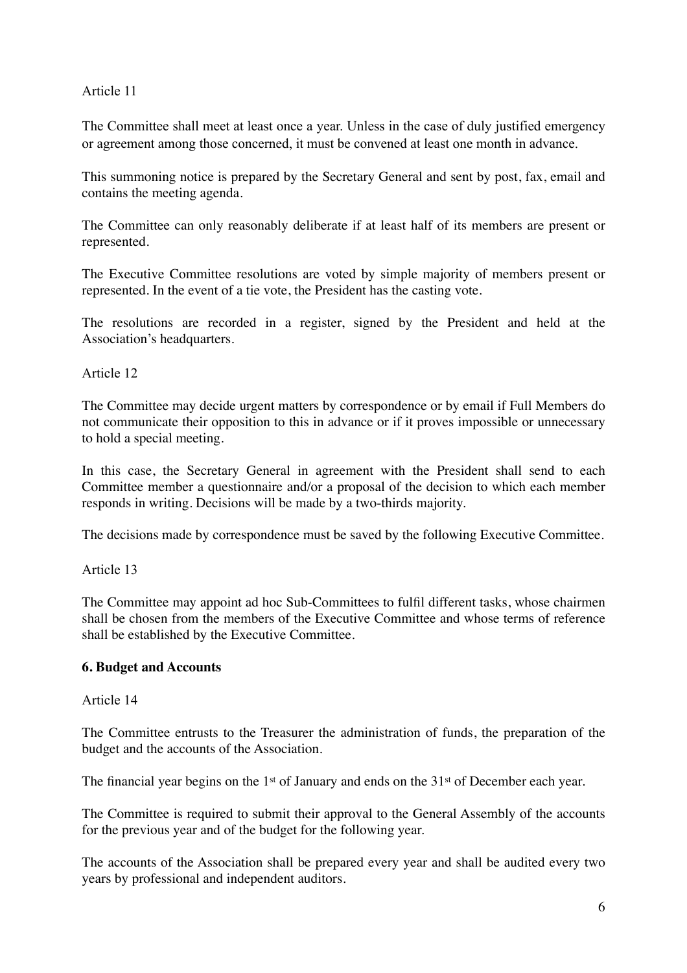## Article 11

The Committee shall meet at least once a year. Unless in the case of duly justified emergency or agreement among those concerned, it must be convened at least one month in advance.

This summoning notice is prepared by the Secretary General and sent by post, fax, email and contains the meeting agenda.

The Committee can only reasonably deliberate if at least half of its members are present or represented.

The Executive Committee resolutions are voted by simple majority of members present or represented. In the event of a tie vote, the President has the casting vote.

The resolutions are recorded in a register, signed by the President and held at the Association's headquarters.

Article 12

The Committee may decide urgent matters by correspondence or by email if Full Members do not communicate their opposition to this in advance or if it proves impossible or unnecessary to hold a special meeting.

In this case, the Secretary General in agreement with the President shall send to each Committee member a questionnaire and/or a proposal of the decision to which each member responds in writing. Decisions will be made by a two-thirds majority.

The decisions made by correspondence must be saved by the following Executive Committee.

Article 13

The Committee may appoint ad hoc Sub-Committees to fulfil different tasks, whose chairmen shall be chosen from the members of the Executive Committee and whose terms of reference shall be established by the Executive Committee.

#### **6. Budget and Accounts**

#### Article 14

The Committee entrusts to the Treasurer the administration of funds, the preparation of the budget and the accounts of the Association.

The financial year begins on the 1<sup>st</sup> of January and ends on the 31<sup>st</sup> of December each year.

The Committee is required to submit their approval to the General Assembly of the accounts for the previous year and of the budget for the following year.

The accounts of the Association shall be prepared every year and shall be audited every two years by professional and independent auditors.